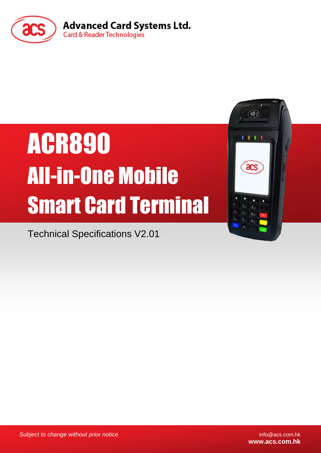

# ACR890 All-in-One Mobile Smart Card Terminal

Technical Specifications V2.01

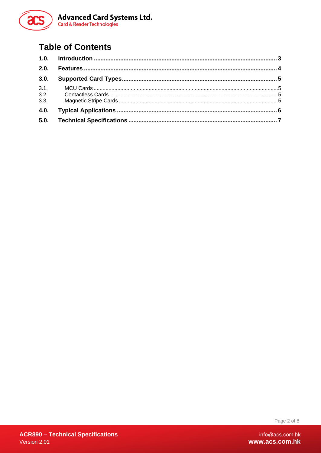

## **Table of Contents**

| 2.0. |  |
|------|--|
| 3.0. |  |
| 3.1. |  |
|      |  |
| 3.3. |  |
| 4.0. |  |
|      |  |

Page 2 of 8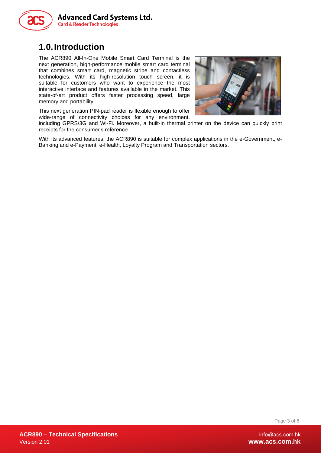

## <span id="page-2-0"></span>**1.0.Introduction**

The ACR890 All-In-One Mobile Smart Card Terminal is the next generation, high-performance mobile smart card terminal that combines smart card, magnetic stripe and contactless technologies. With its high-resolution touch screen, it is suitable for customers who want to experience the most interactive interface and features available in the market. This state-of-art product offers faster processing speed, large memory and portability.

This next generation PIN-pad reader is flexible enough to offer wide-range of connectivity choices for any environment,



including GPRS/3G and Wi-Fi. Moreover, a built-in thermal printer on the device can quickly print receipts for the consumer's reference.

With its advanced features, the ACR890 is suitable for complex applications in the e-Government, e-Banking and e-Payment, e-Health, Loyalty Program and Transportation sectors.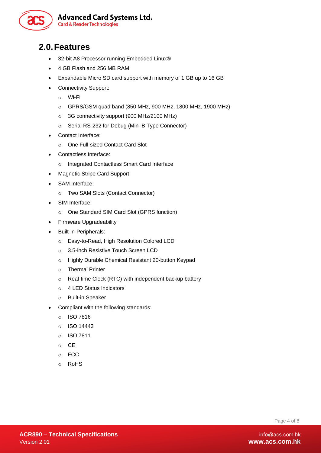

### <span id="page-3-0"></span>**2.0.Features**

- 32-bit A8 Processor running Embedded Linux®
- 4 GB Flash and 256 MB RAM
- Expandable Micro SD card support with memory of 1 GB up to 16 GB
- Connectivity Support:
	- o Wi-Fi
	- o GPRS/GSM quad band (850 MHz, 900 MHz, 1800 MHz, 1900 MHz)
	- o 3G connectivity support (900 MHz/2100 MHz)
	- o Serial RS-232 for Debug (Mini-B Type Connector)
- Contact Interface:
	- o One Full-sized Contact Card Slot
- Contactless Interface:
	- o Integrated Contactless Smart Card Interface
- Magnetic Stripe Card Support
- SAM Interface:
	- o Two SAM Slots (Contact Connector)
- SIM Interface:
	- o One Standard SIM Card Slot (GPRS function)
- Firmware Upgradeability
- Built-in-Peripherals:
	- o Easy-to-Read, High Resolution Colored LCD
	- o 3.5-inch Resistive Touch Screen LCD
	- o Highly Durable Chemical Resistant 20-button Keypad
	- o Thermal Printer
	- o Real-time Clock (RTC) with independent backup battery
	- o 4 LED Status Indicators
	- o Built-in Speaker
- Compliant with the following standards:
	- o ISO 7816
	- o ISO 14443
	- o ISO 7811
	- o CE
	- o FCC
	- o RoHS

Page 4 of 8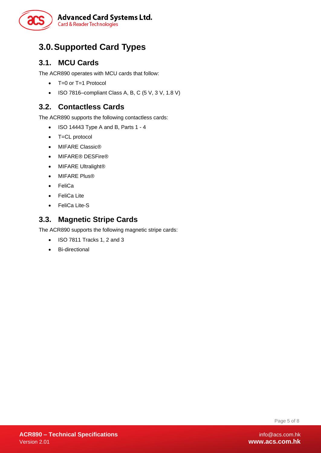

# <span id="page-4-0"></span>**3.0.Supported Card Types**

#### <span id="page-4-1"></span>**3.1. MCU Cards**

The ACR890 operates with MCU cards that follow:

- T=0 or T=1 Protocol
- $\bullet$  ISO 7816–compliant Class A, B, C (5 V, 3 V, 1.8 V)

#### <span id="page-4-2"></span>**3.2. Contactless Cards**

The ACR890 supports the following contactless cards:

- $\bullet$  ISO 14443 Type A and B, Parts 1 4
- T=CL protocol
- MIFARE Classic®
- MIFARE® DESFire®
- MIFARE Ultralight®
- MIFARE Plus®
- FeliCa
- FeliCa Lite
- FeliCa Lite-S

#### <span id="page-4-3"></span>**3.3. Magnetic Stripe Cards**

The ACR890 supports the following magnetic stripe cards:

- $\bullet$  ISO 7811 Tracks 1, 2 and 3
- Bi-directional

Page 5 of 8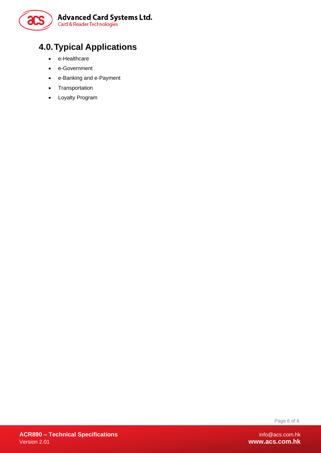

# <span id="page-5-0"></span>**4.0.Typical Applications**

- e-Healthcare
- e-Government
- e-Banking and e-Payment
- Transportation
- Loyalty Program

Page 6 of 8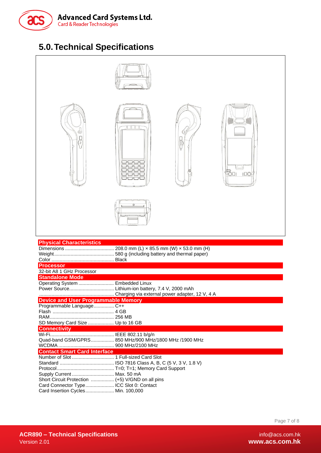

# <span id="page-6-0"></span>**5.0.Technical Specifications**

|                                                                                                                                                                                                         | $0\ 0\ 0$<br>ㅁㅁㄷ                               |  |                            |  |  |
|---------------------------------------------------------------------------------------------------------------------------------------------------------------------------------------------------------|------------------------------------------------|--|----------------------------|--|--|
|                                                                                                                                                                                                         |                                                |  | <b>TOO</b> I<br><b>IDO</b> |  |  |
| <b>Physical Characteristics</b><br>208.0 mm (L) x 85.5 mm (W) x 53.0 mm (H)<br><b>Processor</b><br>32-bit A8 1 GHz Processor<br><b>Standalone Mode</b><br>Operating System  Embedded Linux              |                                                |  |                            |  |  |
| <b>Device and User Programmable Memory</b><br>Programmable Language C++<br>SD Memory Card Size  Up to 16 GB<br><b>Connectivity</b><br>Quad-band GSM/GPRS 850 MHz/900 MHz/1800 MHz /1900 MHz             | Charging via external power adapter, 12 V, 4 A |  |                            |  |  |
| <b>Contact Smart Card Interface</b><br>Supply Current  Max. 50 mA<br>Short Circuit Protection  (+5) V/GND on all pins<br>Card Connector Type  ICC Slot 0: Contact<br>Card Insertion Cycles Min. 100,000 |                                                |  |                            |  |  |